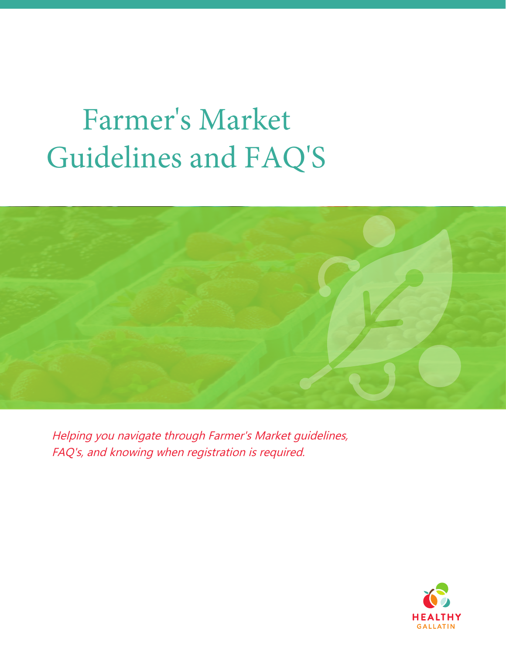# Farmer's Market Guidelines and FAQ'S



Helping you navigate through Farmer's Market guidelines, FAQ's, and knowing when registration is required.

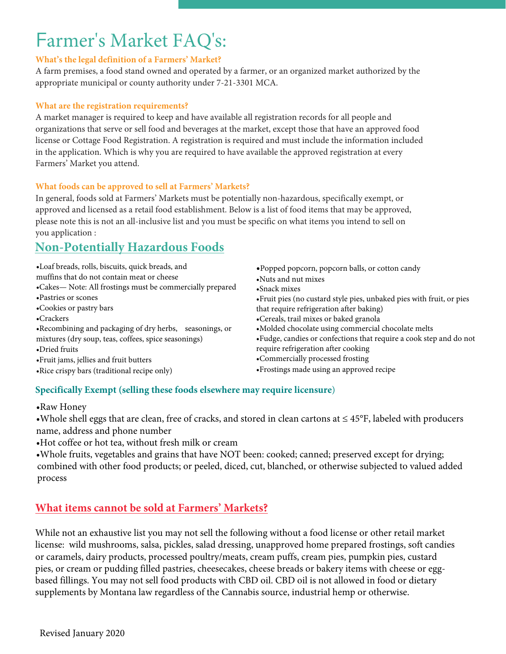# Farmer's Market FAQ's:

#### **What's the legal definition of a Farmers' Market?**

A farm premises, a food stand owned and operated by a farmer, or an organized market authorized by the appropriate municipal or county authority under 7-21-3301 MCA.

#### **What are the registration requirements?**

A market manager is required to keep and have available all registration records for all people and organizations that serve or sell food and beverages at the market, except those that have an approved food license or Cottage Food Registration. A registration is required and must include the information included in the application. Which is why you are required to have available the approved registration at every Farmers' Market you attend.

#### **What fo[ods can be app](http://www.mtrules.org/gateway/Subchapterhome.asp?scn=37%2E110%2E2)roved to sell at Farmers' Markets?**

In gener[al, foods sold at Farme](https://www.fda.gov/media/87140/download)rs' Markets must be potentially non-hazardous, specifically exempt, or approved and licensed as a retail food establishment. Below is a list of food items that may be approved, please note this is not an all-inclusive list and you must be specific on what items you intend to sell on you application :

# **Non-Potentially Hazardous Food[s](http://www.healthygallatin.org)**

- Loaf breads, rolls, biscuits, quick breads, and muffins that do not contain meat or cheese
- Cakes
- Pastries or scones
- Cookies or pastry bars
- Crackers
- Recombining and packaging of dry herbs, or mixtures (dry soup, teas, coffees, spice seasonings)
- Dried fruits
- Fruit jams, jellies and fruit butters
- Rice crispy bars (traditional recipe only)
- Popped popcorn, popcorn balls, or cotton candy
- Nuts and nut mixes
- nack mixes
- Fruit pies (no custard style pies, unbaked pies ith fruit, or pies that require refrigeration after baking)
- Cereals, trail mixes or baked granola
- olded chocolate using commercial chocolate melts
- Fudge, candies or confections that require a cook step and do not require refrigeration after cooking
- Commercially processed frosting
- Frostings made using an appro ed recipe

## **Specifically Exempt (selling these foods elsewhere may require licensure**)

- Raw Honey
- Whole shell eggs that are clean, free of cracks, and stored in clean cartons at ≤ 45°F, labeled with producers name, address and phone number
- Hot coffee or hot tea, without fresh milk or cream
- Whole fruits, vegetables and grains that have NOT been: cooked; canned; preserved except for drying; combined with other food products; or peeled, diced, cut, blanched, or otherwise subjected to valued added process

# **What items cannot be sold at Farmers' Markets?**

While not an exhaustive list you may not sell the following without a food license or other retail market license: wild mushrooms, salsa, pickles, salad dressing, unapproved home prepared frostings, soft candies or caramels, dairy products, processed poultry/meats, cream puffs, cream pies, pumpkin pies, custard pies, or cream or pudding filled pastries, cheesecakes, cheese breads or bakery items with cheese or egg-based fillings. You may not sell food products with CBD oil. CBD oil is not allowed in food or dietary supplements by Montana law regardless of the Cannabis source, industrial hemp or otherwise.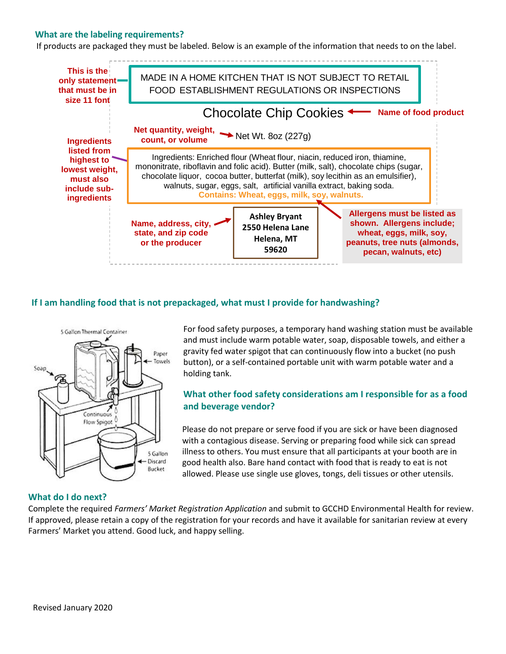#### **What are the labeling requirements?**

If products are packaged they must be labeled. Below is an example of the information that needs to on the label.



#### **If I am handling food that is not prepackaged, what must I provide for handwashing?**



For food safety purposes, a temporary hand washing station must be available and must include warm potable water, soap, disposable towels, and either a gravity fed water spigot that can continuously flow into a bucket (no push button), or a self-contained portable unit with warm potable water and a holding tank.

#### **What other food safety considerations am I responsible for as a food and beverage vendor?**

Please do not prepare or serve food if you are sick or have been diagnosed with a contagious disease. Serving or preparing food while sick can spread illness to others. You must ensure that all participants at your booth are in good health also. Bare hand contact with food that is ready to eat is not allowed. Please use single use gloves, tongs, deli tissues or other utensils.

#### **What do I do next?**

Complete the required *Farmers' Market Registration Application* and submit to GCCHD Environmental Health for review. If approved, please retain a copy of the registration for your records and have it available for sanitarian review at every Farmers' Market you attend. Good luck, and happy selling.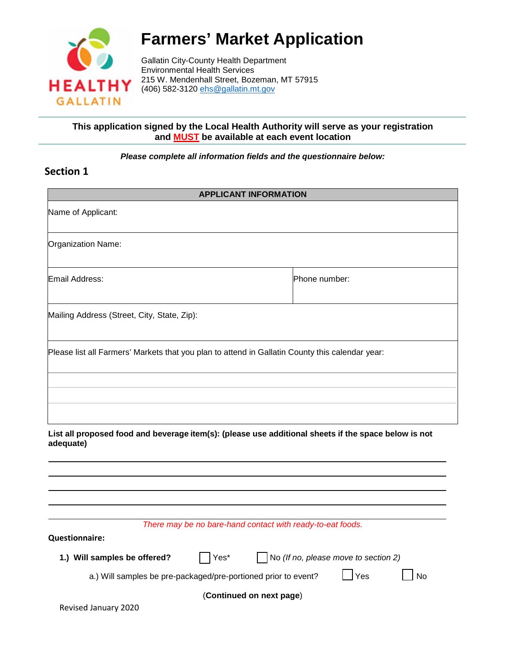

# **Farmers' Market Application**

Gallatin City-County Health Department Environmental Health Services 215 W. Mendenhall Street, Bozeman, MT 57915 (406) 582-3120 [ehs@gallatin.mt.gov](mailto:ehs@gallatin.mt.gov)

#### **This application signed by the Local Health Authority will serve as your registration and MUST be available at each event location**

*Please complete all information fields and the questionnaire below:* 

### **Section 1**

| <b>APPLICANT INFORMATION</b>                                                                    |                                                                |                                                                                                      |  |
|-------------------------------------------------------------------------------------------------|----------------------------------------------------------------|------------------------------------------------------------------------------------------------------|--|
| Name of Applicant:                                                                              |                                                                |                                                                                                      |  |
| Organization Name:                                                                              |                                                                |                                                                                                      |  |
| Email Address:                                                                                  |                                                                | Phone number:                                                                                        |  |
| Mailing Address (Street, City, State, Zip):                                                     |                                                                |                                                                                                      |  |
| Please list all Farmers' Markets that you plan to attend in Gallatin County this calendar year: |                                                                |                                                                                                      |  |
|                                                                                                 |                                                                |                                                                                                      |  |
| adequate)                                                                                       |                                                                | List all proposed food and beverage item(s): (please use additional sheets if the space below is not |  |
|                                                                                                 |                                                                |                                                                                                      |  |
|                                                                                                 | There may be no bare-hand contact with ready-to-eat foods.     |                                                                                                      |  |
| <b>Questionnaire:</b>                                                                           |                                                                |                                                                                                      |  |
| 1.) Will samples be offered?                                                                    | Yes*                                                           | No (If no, please move to section 2)                                                                 |  |
|                                                                                                 | a.) Will samples be pre-packaged/pre-portioned prior to event? | ∫Yes<br><b>No</b>                                                                                    |  |
|                                                                                                 | (Continued on next page)                                       |                                                                                                      |  |
| Revised January 2020                                                                            |                                                                |                                                                                                      |  |